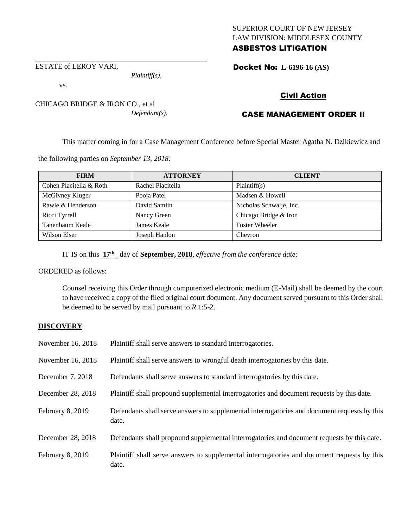## SUPERIOR COURT OF NEW JERSEY LAW DIVISION: MIDDLESEX COUNTY ASBESTOS LITIGATION

ESTATE of LEROY VARI,

vs.

*Plaintiff(s),*

*Defendant(s).*

Docket No: **L-6196-16 (AS)** 

Civil Action

# CASE MANAGEMENT ORDER II

This matter coming in for a Case Management Conference before Special Master Agatha N. Dzikiewicz and

the following parties on *September 13, 2018:*

CHICAGO BRIDGE & IRON CO., et al

| <b>FIRM</b>             | <b>ATTORNEY</b>   | <b>CLIENT</b>           |
|-------------------------|-------------------|-------------------------|
| Cohen Placitella & Roth | Rachel Placitella | Plaintiff(s)            |
| McGivney Kluger         | Pooja Patel       | Madsen & Howell         |
| Rawle & Henderson       | David Samlin      | Nicholas Schwalje, Inc. |
| Ricci Tyrrell           | Nancy Green       | Chicago Bridge & Iron   |
| Tanenbaum Keale         | James Keale       | <b>Foster Wheeler</b>   |
| Wilson Elser            | Joseph Hanlon     | Chevron                 |

IT IS on this **17th** day of **September, 2018**, *effective from the conference date;*

ORDERED as follows:

Counsel receiving this Order through computerized electronic medium (E-Mail) shall be deemed by the court to have received a copy of the filed original court document. Any document served pursuant to this Order shall be deemed to be served by mail pursuant to *R*.1:5-2.

### **DISCOVERY**

| November 16, 2018 | Plaintiff shall serve answers to standard interrogatories.                                            |
|-------------------|-------------------------------------------------------------------------------------------------------|
| November 16, 2018 | Plaintiff shall serve answers to wrongful death interrogatories by this date.                         |
| December 7, 2018  | Defendants shall serve answers to standard interrogatories by this date.                              |
| December 28, 2018 | Plaintiff shall propound supplemental interrogatories and document requests by this date.             |
| February 8, 2019  | Defendants shall serve answers to supplemental interrogatories and document requests by this<br>date. |
| December 28, 2018 | Defendants shall propound supplemental interrogatories and document requests by this date.            |
| February 8, 2019  | Plaintiff shall serve answers to supplemental interrogatories and document requests by this<br>date.  |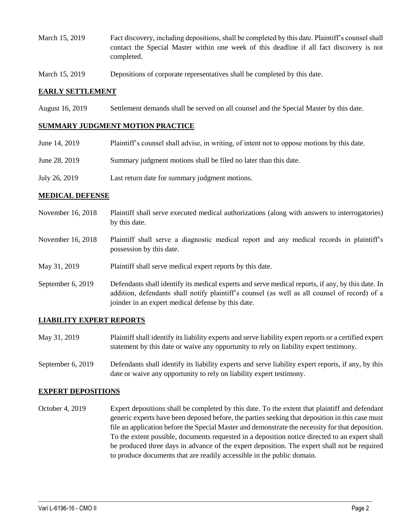- March 15, 2019 Fact discovery, including depositions, shall be completed by this date. Plaintiff's counsel shall contact the Special Master within one week of this deadline if all fact discovery is not completed.
- March 15, 2019 Depositions of corporate representatives shall be completed by this date.

### **EARLY SETTLEMENT**

August 16, 2019 Settlement demands shall be served on all counsel and the Special Master by this date.

### **SUMMARY JUDGMENT MOTION PRACTICE**

| June 14, 2019 | Plaintiff's counsel shall advise, in writing, of intent not to oppose motions by this date. |
|---------------|---------------------------------------------------------------------------------------------|
| June 28, 2019 | Summary judgment motions shall be filed no later than this date.                            |
| July 26, 2019 | Last return date for summary judgment motions.                                              |

#### **MEDICAL DEFENSE**

- November 16, 2018 Plaintiff shall serve executed medical authorizations (along with answers to interrogatories) by this date.
- November 16, 2018 Plaintiff shall serve a diagnostic medical report and any medical records in plaintiff's possession by this date.
- May 31, 2019 Plaintiff shall serve medical expert reports by this date.
- September 6, 2019 Defendants shall identify its medical experts and serve medical reports, if any, by this date. In addition, defendants shall notify plaintiff's counsel (as well as all counsel of record) of a joinder in an expert medical defense by this date.

### **LIABILITY EXPERT REPORTS**

- May 31, 2019 Plaintiff shall identify its liability experts and serve liability expert reports or a certified expert statement by this date or waive any opportunity to rely on liability expert testimony.
- September 6, 2019 Defendants shall identify its liability experts and serve liability expert reports, if any, by this date or waive any opportunity to rely on liability expert testimony.

#### **EXPERT DEPOSITIONS**

October 4, 2019 Expert depositions shall be completed by this date. To the extent that plaintiff and defendant generic experts have been deposed before, the parties seeking that deposition in this case must file an application before the Special Master and demonstrate the necessity for that deposition. To the extent possible, documents requested in a deposition notice directed to an expert shall be produced three days in advance of the expert deposition. The expert shall not be required to produce documents that are readily accessible in the public domain.

 $\_$  ,  $\_$  ,  $\_$  ,  $\_$  ,  $\_$  ,  $\_$  ,  $\_$  ,  $\_$  ,  $\_$  ,  $\_$  ,  $\_$  ,  $\_$  ,  $\_$  ,  $\_$  ,  $\_$  ,  $\_$  ,  $\_$  ,  $\_$  ,  $\_$  ,  $\_$  ,  $\_$  ,  $\_$  ,  $\_$  ,  $\_$  ,  $\_$  ,  $\_$  ,  $\_$  ,  $\_$  ,  $\_$  ,  $\_$  ,  $\_$  ,  $\_$  ,  $\_$  ,  $\_$  ,  $\_$  ,  $\_$  ,  $\_$  ,